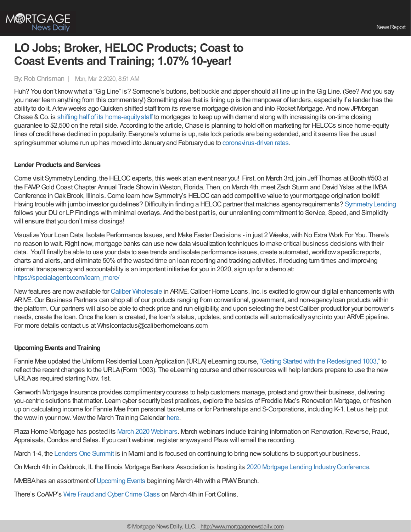

# **LO Jobs; Broker, HELOC Products; Coast to Coast Events and Training; 1.07%10-year!**

## By: Rob Chrisman | Mon, Mar 2 2020, 8:51 AM

Huh? You don't know what a "Gig Line" is? Someone's buttons, belt buckle and zipper should all line up in the Gig Line. (See? And you say you never learn anything from this commentary!) Something else that is lining up is the manpower of lenders, especiallyif a lender has the abilityto do it. Afewweeks agoQuicken shifted staff from its reverse mortgage division and into Rocket Mortgage. And nowJPMorgan Chase &Co. is shifting half of its [home-equitystaff](https://www.bloomberg.com/news/articles/2020-02-28/jpmorgan-shifts-scores-of-workers-to-mortgages-to-handle-boom) to mortgages to keep up with demand along with increasing its on-time closing guarantee to \$2,500 on the retail side. According to the article, Chase is planning to hold off on marketing for HELOCs since home-equity lines of credit have declined in popularity. Everyone's volume is up, rate lock periods are being extended, and it seems like the usual spring/summer volume run up has moved into Januaryand Februarydue to [coronavirus-driven](https://www.stratmorgroup.com/how-epidemics-impact-lending/) rates.

#### **Lender Products and Services**

Come visit SymmetryLending, the HELOCexperts, this week at an event near you! First, on March 3rd, join Jeff Thomas at Booth #503 at the FAMPGold CoastChapter Annual Trade Showin Weston, Florida. Then, on March 4th, meet Zach Sturm and David Yslas at the IMBA Conference in Oak Brook, Illinois. Come learn how Symmetry's HELOC can add competitive value to your mortgage origination toolkit! Having trouble with jumbo investor guidelines? Difficulty in finding a HELOC partner that matches agency requirements? Symmetry Lending follows your DU or LP Findings with minimal overlays. And the best part is, our unrelenting commitment to Service, Speed, and Simplicity will ensure that you don't miss closings!

Visualize Your Loan Data, Isolate Performance Issues, and Make Faster Decisions - in just 2 Weeks,with No Extra Work For You. There's no reason to wait. Right now, mortgage banks can use new data visualization techniques to make critical business decisions with their data. You'll finally be able to use your data to see trends and isolate performance issues, create automated, workflow specific reports, charts and alerts, and eliminate 50%of the wasted time on loan reporting and tracking activities. If reducing turn times and improving internal transparencyand accountabilityis an important initiative for you in 2020, sign up for a demo at: [https://specialagentx.com/learn\\_more/](https://specialagentx.com/learn_more/)

New features are now available for Caliber [Wholesale](http://www.caliberwholesale.com/) in ARIVE. Caliber Home Loans, Inc. is excited to grow our digital enhancements with ARIVE. Our Business Partners can shop all of our products ranging from conventional, government, and non-agency loan products within the platform.Our partners will also be able to check price and run eligibility, and upon selecting the bestCaliber product for your borrower's needs, create the loan. Once the loan is created, the loan's status, updates, and contacts will automatically sync into your ARIVE pipeline. For more details contact us at Whslcontactus@caliberhomeloans.com

## **UpcomingEvents andTraining**

Fannie Mae updated the Uniform Residential Loan Application (URLA) eLearning course, "Getting Started with the [Redesigned](https://fanniemae.articulate-online.com/p/7778779827/DocumentViewRouter.ashx?Cust=77787&DocumentID=147d2f9f-637c-4352-98c4-513969ddd22c&Popped=True&InitialPage=/story_html5.html?Cust=77787&DocumentID=147d2f9f-637c-4352-98c4-513969ddd22c&Popped=True&v=11&InitialPage=story.html&v=11&) 1003," to reflect the recent changes to the URLA(Form 1003). The eLearning course and other resources will help lenders prepare to use the new URLAas required starting Nov. 1st.

Genworth Mortgage Insurance provides complimentarycourses to help customers manage, protect and growtheir business, delivering you-centric solutions that matter. Learn cyber securitybest practices, explore the basics of Freddie Mac's Renovation Mortgage, or freshen up on calculating income for Fannie Mae from personal taxreturns or for Partnerships and S-Corporations, including K-1. Let us help put the wow in your now. View the March Training Calendar [here](https://new.mortgageinsurance.genworth.com/training-calendar?view=events&ym=202003&utm_medium=referral&utm_source=crisman&utm_campaign=marchwebinar&utm_content=view).

Plaza Home Mortgage has posted its March 2020 [Webinars.](http://www.plazahomemortgage.com/calendar/?utm_source=hs_email&utm_medium=email&utm_content=83617915&_hsenc=p2ANqtz-8pQLJ3SUoJnFXWaZHNtyrI1iWsHuK3S-JmRK7JNz7AJ_7Thg7uIbneyk-26XWTaA0LEiVykCNzdxMOjVji0sNjEduFlH_tP5dkA5O5n2TDvgknrnI&_hsmi=83617915) March webinars include training information on Renovation, Reverse, Fraud, Appraisals, Condos and Sales. If you can't webinar, register anyway and Plaza will email the recording.

March 1-4, the [Lenders](https://www.l1summit.com/ehome/index.php?eventid=473666&) One Summit is in Mami and is focused on continuing to bring new solutions to support your business.

On March 4th in Oakbrook, IL the Illinois Mortgage Bankers Association is hosting its 2020 Mortgage Lending Industry Conference.

MMBBAhas an assortment of [Upcoming](https://mmbba.org/meetinginfo.php) Events beginning March 4th with a PMW Brunch.

There's CoAMP's Wire Fraud and Cyber [Crime](http://coamp.wildapricot.org/event-3731340) Class on March 4th in Fort Collins.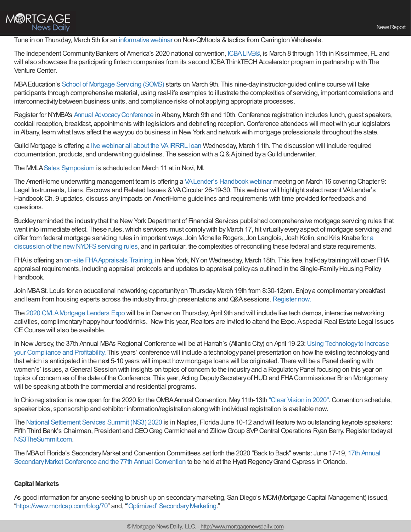## **M®RTGAGE** News Daily

### Tune in on Thursday, March 5th for an [informative](https://register.gotowebinar.com/register/610585599899712013?source=WS%20Email&utm_campaign=B2B%253A%20Webinars&utm_source=hs_email&utm_medium=email&utm_content=83815494&_hsenc=p2ANqtz-9pi-1IVO_oMHbaJwmhr2grLS3gGdHDbq_iQRfJF6PfmkBO7_L5q8-zbOokgbOyaUbFkCdV5A0cukb_cqelDHmD0TDAjFKqHOEE1QeRP9AUilBYGiI&_hsmi=83815494) webinar on Non-QMtools & tactics from Carrington Wholesale.

The Independent Community Bankers of America's 2020 national convention, [ICBALIVE®](https://www.icba.org/events/icba-live), is March 8 through 11th in Kissimmee, FL and will also showcase the participating fintech companies from its second ICBAThinkTECH Accelerator program in partnership with The Venture Center.

MBAEducation's School of [Mortgage](https://www.mba.org/store/events/instructor-guided-online-course/school-of-mortgage-servicing-march-2020?utm_source=Informz&utm_medium=Email&utm_campaign=mba%252Eorg#_zs9UHdA1_zlvAub5) Servicing (SOMS) starts on March 9th. This nine-dayinstructor-guided online course will take participants through comprehensive material, using real-life examples to illustrate the complexities of servicing, important correlations and interconnectivitybetween business units, and compliance risks of not applying appropriate processes.

Register for NYMBA's Annual Advocacy Conference in Albany, March 9th and 10th. Conference registration includes lunch, guest speakers, cocktail reception, breakfast, appointments with legislators and debriefing reception.Conference attendees will meetwith your legislators in Albany, learn what laws affect the way you do business in New York and network with mortgage professionals throughout the state.

Guild Mortgage is offering a live webinar all about the [VAIRRRL](https://register.gotowebinar.com/register/4097633951142952460) loan Wednesday, March 11th. The discussion will include required documentation, products, and underwriting guidelines. The session with a Q & Ajoined by a Guild underwriter.

The MMLASales [Symposium](https://mmla.net/) is scheduled on March 11 at in Novi, MI.

The AmeriHome underwriting management team is offering a VALender's Handbook webinar meeting on March 16 covering Chapter 9: Legal Instruments, Liens, Escrows and Related Issues &VACircular 26-19-30. This webinar will highlight select recent VALender's Handbook Ch. 9 updates, discuss any impacts on AmeriHome guidelines and requirements with time provided for feedback and questions.

Buckley reminded the industry that the New York Department of Financial Services published comprehensive mortgage servicing rules that went into immediate effect. These rules, which servicers must comply with by March 17, hit virtually every aspect of mortgage servicing and differ from federal mortgage servicing rules in important ways. Join Michelle Rogers, Jon Langlois, Josh Kotin, and Kris Knabe for a discussion of the new NYDFS servicing rules, and in particular, the complexities of reconciling these federal and state requirements.

FHAis offering an on-site [FHAAppraisals](https://apps.hud.gov/emarc/index.cfm?fuseaction=emar.registerEvent&eventId=3808&update=N) Training, in NewYork,NYon Wednesday, March 18th. This free, half-daytraining will cover FHA appraisal requirements, including appraisal protocols and updates to appraisal policy as outlined in the Single-Family Housing Policy Handbook.

Join MBASt. Louis for an educational networking opportunity on Thursday March 19th from 8:30-12pm. Enjoy a complimentary breakfast and learn from housing experts across the industry through presentations and Q&A sessions. [Register](https://mbastl.com/event-3703489) now.

The 2020 [CMLAMortgage](https://cmla.com/expo/2020/pricing) Lenders Expo will be in Denver on Thursday, April 9th and will include live tech demos, interactive networking activities, complimentary happy hour food/drinks. New this year, Realtors are invited to attend the Expo. Aspecial Real Estate Legal Issues CE Course will also be available.

In New Jersey, the 37th Annual MBAs Regional Conference will be at Harrah's (Atlantic City) on April 19-23: Using Technology to Increase your Compliance and Profitability. This years' conference will include a [technologypanel](http://www.eventsmbanj.net/register.html) presentation on howthe existing technologyand thatwhich is anticipated in the next 5-10 years will impact how mortgage loans will be originated. There will be a Panel dealing with women's' issues, a General Session with insights on topics of concern to the industry and a Regulatory Panel focusing on this year on topics of concern as of the date of the Conference. This year, Acting Deputy Secretary of HUD and FHA Commissioner Brian Montgomery will be speaking at both the commercial and residential programs.

In Ohio registration is now open for the 2020 for the OMBA Annual Convention, May 11th-13th ["Clear](http://www.ohiomba.org/index.php/annual-convention-clear-vision-in-2020-may-11-13-2020/) Vision in 2020". Convention schedule, speaker bios, sponsorship and exhibitor information/registration along with individual registration is available now.

The National [Settlement](https://ns3thesummit.com/keynote-speakers) Services Summit (NS3) 2020 is in Naples, Florida June 10-12 and will feature two outstanding keynote speakers: Fifth Third Bank's Chairman, President and CEO Greg Carmichael and Zillow Group SVP Central Operations Ryan Berry. Register today at [NS3TheSummit.com](https://ns3thesummit.com/registration).

The MBA of Florida's Secondary Market and Convention Committees set forth the 2020 "Back to Back" events: June 17-19, 17th Annual Secondary Market Conference and the 77th Annual Convention to be held at the Hyatt Regency Grand Cypress in Orlando.

## **Capital Markets**

As good information for anyone seeking to brush up on secondarymarketing, San Diego's MCM(Mortgage Capital Management) issued, ["https://www.mortcap.com/blog/70](https://www.mortcap.com/blog/70)" and, "'Optimized' [SecondaryMarketing](https://www.mortcap.com/blog/69)."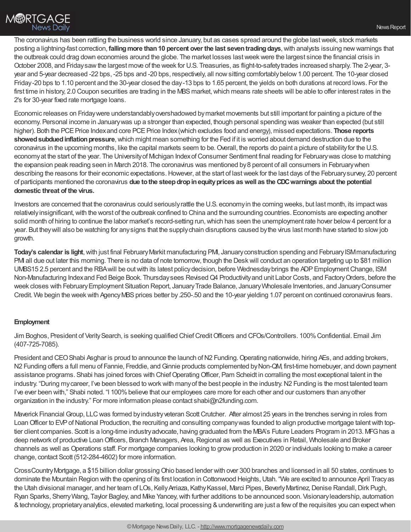The coronavirus has been rattling the business world since January, but as cases spread around the globe lastweek, stock markets posting a lightning-fast correction, **fallingmore than10 percent over the last seventradingdays**,with analysts issuing newwarnings that the outbreak could drag down economies around the globe. The market losses lastweekwere the largest since the financial crisis in October 2008, and Fridaysawthe largest move of the week for U.S. Treasuries, as flight-to-safetytrades increased sharply. The 2-year, 3 year and 5-year decreased -22 bps, -25 bps and -20 bps, respectively, all nowsitting comfortablybelow1.00 percent. The 10-year closed Friday-20 bps to 1.10 percent and the 30-year closed the day-13 bps to 1.65 percent, the yields on both durations at record lows. For the first time in history, 2.0 Coupon securities are trading in the MBS market, which means rate sheets will be able to offer interest rates in the 2's for 30-year fixed rate mortgage loans.

Economic releases on Fridaywere understandablyovershadowed bymarket movements but still important for painting a picture of the economy. Personal income in Januarywas up a stronger than expected, though personal spending was weaker than expected (but still higher). Both the PCE Price Index and core PCE Price Index (which excludes food and energy), missed expectations. **Those reports showed subdued inflation pressure**, which might mean something for the Fed if it is worried about demand destruction due to the coronavirus in the upcoming months, like the capital markets seem to be. Overall, the reports do paint a picture of stability for the U.S. economy at the start of the year. The University of Michigan Index of Consumer Sentiment final reading for February was close to matching the expansion peak reading seen in March 2018. The coronavirus was mentioned by8 percent of all consumers in Februarywhen describing the reasons for their economic expectations. However, at the start of last week for the last days of the February survey, 20 percent of participants mentioned the coronavirus **due tothe steepdropinequityprices aswell as the CDCwarnings about the potential domestic threat of the virus.**

Investors are concerned that the coronavirus could seriouslyrattle the U.S. economyin the coming weeks, but last month, its impactwas relatively insignificant, with the worst of the outbreak confined to China and the surrounding countries. Economists are expecting another solid month of hiring to continue the labor market's record-setting run, which has seen the unemployment rate hover below 4 percent for a year. But theywill also be watching for anysigns that the supplychain disruptions caused bythe virus last month have started to slowjob growth.

**Today's calendar is light**, with just final February Markit manufacturing PMI, January construction spending and February ISM manufacturing PMI all due out later this morning. There is no data of note tomorrow, though the Deskwill conduct an operation targeting up to \$81 million UMBS15 2.5 percent and the RBAwill be outwith its latest policydecision, before Wednesdaybrings the ADPEmploymentChange, ISM Non-Manufacturing Indexand Fed Beige Book. Thursdaysees RevisedQ4 Productivityand unit Labor Costs, and FactoryOrders, before the week closes with FebruaryEmployment Situation Report, JanuaryTrade Balance, JanuaryWholesale Inventories, and JanuaryConsumer Credit. We begin the week with Agency MBS prices better by .250-.50 and the 10-year yielding 1.07 percent on continued coronavirus fears.

## **Employment**

Jim Boghos, President of Verity Search, is seeking qualified Chief Credit Officers and CFOs/Controllers. 100% Confidential. Email Jim (407-725-7085).

President and CEO Shabi Asghar is proud to announce the launch of N2 Funding. Operating nationwide, hiring AEs, and adding brokers, N2 Funding offers a full menu of Fannie, Freddie, and Ginnie products complemented by Non-QM, first-time homebuyer, and down payment assistance programs. Shabi has joined forces with ChiefOperatingOfficer, Pam Scheidt in corralling the most exceptional talent in the industry. "During my career, I've been blessed to work with many of the best people in the industry. N2 Funding is the most talented team I've ever been with," Shabi noted. "I 100% believe that our employees care more for each other and our customers than any other organization in the industry." For more information please contact shabi@n2funding.com.

Maverick Financial Group, LLC was formed by industry veteran Scott Crutcher. After almost 25 years in the trenches serving in roles from Loan Officer to EVP of National Production, the recruiting and consulting company was founded to align productive mortgage talent with toptier client companies. Scott is a long-time industry advocate, having graduated from the MBA's Future Leaders Program in 2013. MFG has a deep network of productive Loan Officers, Branch Managers, Area, Regional as well as Executives in Retail, Wholesale and Broker channels as well as Operations staff. For mortgage companies looking to growproduction in 2020 or individuals looking to make a career change, contact Scott (512-284-4602) for more information.

CrossCountryMortgage, a \$15 billion dollar grossingOhio based lender with over 300 branches and licensed in all 50 states, continues to dominate the Mountain Region with the opening of its first location in Cottonwood Heights, Utah. "We are excited to announce April Tracy as the Utah divisional manager, and her team of LOs, Kelly Arriaza, Kathy Kassel, Marci Pipes, Beverly Martinez, Denise Randall, Dirk Pugh, Ryan Sparks, Sherry Wang, Taylor Bagley, and Mike Yancey, with further additions to be announced soon. Visionary leadership, automation &technology, proprietaryanalytics, elevated marketing, local processing &underwriting are just a fewof the requisites you can expectwhen